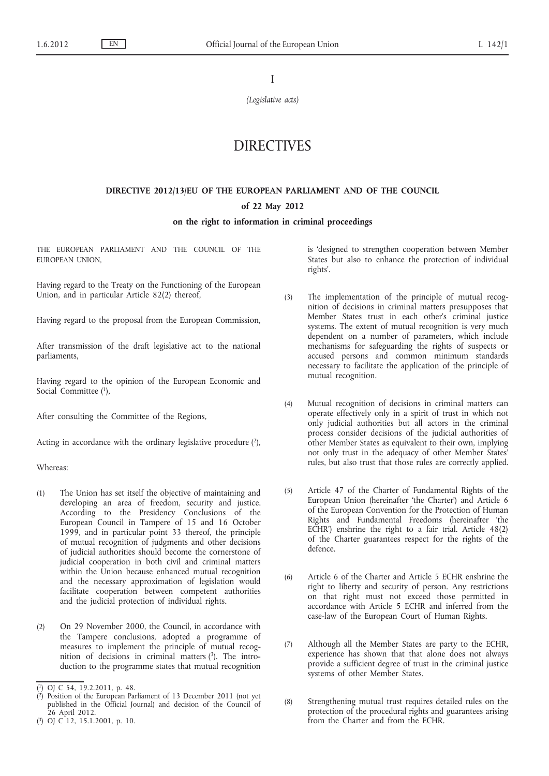I

*(Legislative acts)*

# DIRECTIVES

## **DIRECTIVE 2012/13/EU OF THE EUROPEAN PARLIAMENT AND OF THE COUNCIL**

## **of 22 May 2012**

## **on the right to information in criminal proceedings**

THE EUROPEAN PARLIAMENT AND THE COUNCIL OF THE EUROPEAN UNION,

Having regard to the Treaty on the Functioning of the European Union, and in particular Article 82(2) thereof,

Having regard to the proposal from the European Commission,

After transmission of the draft legislative act to the national parliaments,

Having regard to the opinion of the European Economic and Social Committee (1),

After consulting the Committee of the Regions,

Acting in accordance with the ordinary legislative procedure  $(2)$ ,

Whereas:

- (1) The Union has set itself the objective of maintaining and developing an area of freedom, security and justice. According to the Presidency Conclusions of the European Council in Tampere of 15 and 16 October 1999, and in particular point 33 thereof, the principle of mutual recognition of judgments and other decisions of judicial authorities should become the cornerstone of judicial cooperation in both civil and criminal matters within the Union because enhanced mutual recognition and the necessary approximation of legislation would facilitate cooperation between competent authorities and the judicial protection of individual rights.
- (2) On 29 November 2000, the Council, in accordance with the Tampere conclusions, adopted a programme of measures to implement the principle of mutual recognition of decisions in criminal matters  $(3)$ . The introduction to the programme states that mutual recognition

( 3) OJ C 12, 15.1.2001, p. 10.

is 'designed to strengthen cooperation between Member States but also to enhance the protection of individual rights'.

- (3) The implementation of the principle of mutual recognition of decisions in criminal matters presupposes that Member States trust in each other's criminal justice systems. The extent of mutual recognition is very much dependent on a number of parameters, which include mechanisms for safeguarding the rights of suspects or accused persons and common minimum standards necessary to facilitate the application of the principle of mutual recognition.
- (4) Mutual recognition of decisions in criminal matters can operate effectively only in a spirit of trust in which not only judicial authorities but all actors in the criminal process consider decisions of the judicial authorities of other Member States as equivalent to their own, implying not only trust in the adequacy of other Member States' rules, but also trust that those rules are correctly applied.
- (5) Article 47 of the Charter of Fundamental Rights of the European Union (hereinafter 'the Charter') and Article 6 of the European Convention for the Protection of Human Rights and Fundamental Freedoms (hereinafter 'the ECHR') enshrine the right to a fair trial. Article 48(2) of the Charter guarantees respect for the rights of the defence.
- (6) Article 6 of the Charter and Article 5 ECHR enshrine the right to liberty and security of person. Any restrictions on that right must not exceed those permitted in accordance with Article 5 ECHR and inferred from the case-law of the European Court of Human Rights.
- (7) Although all the Member States are party to the ECHR, experience has shown that that alone does not always provide a sufficient degree of trust in the criminal justice systems of other Member States.
- (8) Strengthening mutual trust requires detailed rules on the protection of the procedural rights and guarantees arising from the Charter and from the ECHR.

<sup>(</sup> 1) OJ C 54, 19.2.2011, p. 48.

<sup>(</sup> 2) Position of the European Parliament of 13 December 2011 (not yet published in the Official Journal) and decision of the Council of 26 April 2012.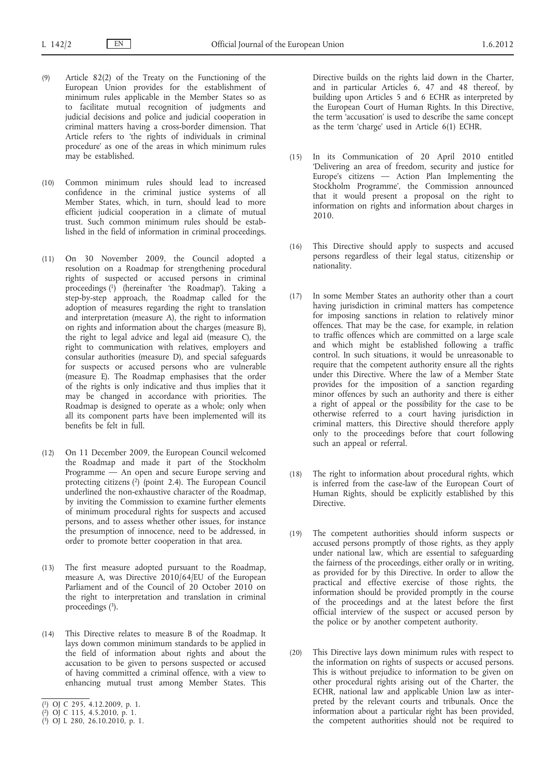- (9) Article 82(2) of the Treaty on the Functioning of the European Union provides for the establishment of minimum rules applicable in the Member States so as to facilitate mutual recognition of judgments and judicial decisions and police and judicial cooperation in criminal matters having a cross-border dimension. That Article refers to 'the rights of individuals in criminal procedure' as one of the areas in which minimum rules may be established.
- (10) Common minimum rules should lead to increased confidence in the criminal justice systems of all Member States, which, in turn, should lead to more efficient judicial cooperation in a climate of mutual trust. Such common minimum rules should be established in the field of information in criminal proceedings.
- (11) On 30 November 2009, the Council adopted a resolution on a Roadmap for strengthening procedural rights of suspected or accused persons in criminal proceedings  $(1)$  (hereinafter 'the Roadmap'). Taking a step-by-step approach, the Roadmap called for the adoption of measures regarding the right to translation and interpretation (measure A), the right to information on rights and information about the charges (measure B), the right to legal advice and legal aid (measure C), the right to communication with relatives, employers and consular authorities (measure D), and special safeguards for suspects or accused persons who are vulnerable (measure E). The Roadmap emphasises that the order of the rights is only indicative and thus implies that it may be changed in accordance with priorities. The Roadmap is designed to operate as a whole; only when all its component parts have been implemented will its benefits be felt in full.
- (12) On 11 December 2009, the European Council welcomed the Roadmap and made it part of the Stockholm Programme — An open and secure Europe serving and protecting citizens (2) (point 2.4). The European Council underlined the non-exhaustive character of the Roadmap, by inviting the Commission to examine further elements of minimum procedural rights for suspects and accused persons, and to assess whether other issues, for instance the presumption of innocence, need to be addressed, in order to promote better cooperation in that area.
- (13) The first measure adopted pursuant to the Roadmap, measure A, was Directive 2010/64/EU of the European Parliament and of the Council of 20 October 2010 on the right to interpretation and translation in criminal proceedings  $(3)$ .
- (14) This Directive relates to measure B of the Roadmap. It lays down common minimum standards to be applied in the field of information about rights and about the accusation to be given to persons suspected or accused of having committed a criminal offence, with a view to enhancing mutual trust among Member States. This

Directive builds on the rights laid down in the Charter, and in particular Articles 6, 47 and 48 thereof, by building upon Articles 5 and 6 ECHR as interpreted by the European Court of Human Rights. In this Directive, the term 'accusation' is used to describe the same concept as the term 'charge' used in Article 6(1) ECHR.

- (15) In its Communication of 20 April 2010 entitled 'Delivering an area of freedom, security and justice for Europe's citizens — Action Plan Implementing the Stockholm Programme', the Commission announced that it would present a proposal on the right to information on rights and information about charges in 2010.
- (16) This Directive should apply to suspects and accused persons regardless of their legal status, citizenship or nationality.
- (17) In some Member States an authority other than a court having jurisdiction in criminal matters has competence for imposing sanctions in relation to relatively minor offences. That may be the case, for example, in relation to traffic offences which are committed on a large scale and which might be established following a traffic control. In such situations, it would be unreasonable to require that the competent authority ensure all the rights under this Directive. Where the law of a Member State provides for the imposition of a sanction regarding minor offences by such an authority and there is either a right of appeal or the possibility for the case to be otherwise referred to a court having jurisdiction in criminal matters, this Directive should therefore apply only to the proceedings before that court following such an appeal or referral.
- (18) The right to information about procedural rights, which is inferred from the case-law of the European Court of Human Rights, should be explicitly established by this Directive.
- (19) The competent authorities should inform suspects or accused persons promptly of those rights, as they apply under national law, which are essential to safeguarding the fairness of the proceedings, either orally or in writing, as provided for by this Directive. In order to allow the practical and effective exercise of those rights, the information should be provided promptly in the course of the proceedings and at the latest before the first official interview of the suspect or accused person by the police or by another competent authority.
- (20) This Directive lays down minimum rules with respect to the information on rights of suspects or accused persons. This is without prejudice to information to be given on other procedural rights arising out of the Charter, the ECHR, national law and applicable Union law as interpreted by the relevant courts and tribunals. Once the information about a particular right has been provided, the competent authorities should not be required to

<sup>(</sup> 1) OJ C 295, 4.12.2009, p. 1.

<sup>(</sup> 2) OJ C 115, 4.5.2010, p. 1.

<sup>(</sup> 3) OJ L 280, 26.10.2010, p. 1.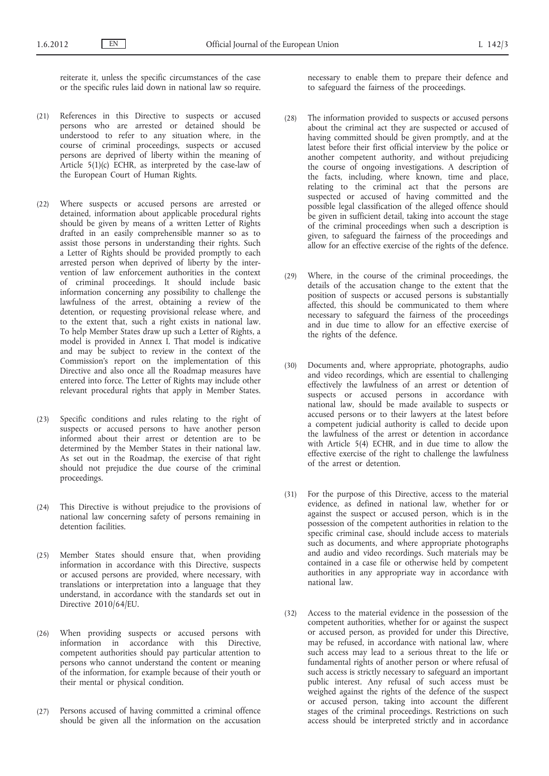reiterate it, unless the specific circumstances of the case or the specific rules laid down in national law so require.

- (21) References in this Directive to suspects or accused persons who are arrested or detained should be understood to refer to any situation where, in the course of criminal proceedings, suspects or accused persons are deprived of liberty within the meaning of Article  $5(1)(c)$  ECHR, as interpreted by the case-law of the European Court of Human Rights.
- (22) Where suspects or accused persons are arrested or detained, information about applicable procedural rights should be given by means of a written Letter of Rights drafted in an easily comprehensible manner so as to assist those persons in understanding their rights. Such a Letter of Rights should be provided promptly to each arrested person when deprived of liberty by the intervention of law enforcement authorities in the context of criminal proceedings. It should include basic information concerning any possibility to challenge the lawfulness of the arrest, obtaining a review of the detention, or requesting provisional release where, and to the extent that, such a right exists in national law. To help Member States draw up such a Letter of Rights, a model is provided in Annex I. That model is indicative and may be subject to review in the context of the Commission's report on the implementation of this Directive and also once all the Roadmap measures have entered into force. The Letter of Rights may include other relevant procedural rights that apply in Member States.
- (23) Specific conditions and rules relating to the right of suspects or accused persons to have another person informed about their arrest or detention are to be determined by the Member States in their national law. As set out in the Roadmap, the exercise of that right should not prejudice the due course of the criminal proceedings.
- (24) This Directive is without prejudice to the provisions of national law concerning safety of persons remaining in detention facilities.
- (25) Member States should ensure that, when providing information in accordance with this Directive, suspects or accused persons are provided, where necessary, with translations or interpretation into a language that they understand, in accordance with the standards set out in Directive 2010/64/EU.
- (26) When providing suspects or accused persons with information in accordance with this Directive, competent authorities should pay particular attention to persons who cannot understand the content or meaning of the information, for example because of their youth or their mental or physical condition.
- (27) Persons accused of having committed a criminal offence should be given all the information on the accusation

necessary to enable them to prepare their defence and to safeguard the fairness of the proceedings.

- (28) The information provided to suspects or accused persons about the criminal act they are suspected or accused of having committed should be given promptly, and at the latest before their first official interview by the police or another competent authority, and without prejudicing the course of ongoing investigations. A description of the facts, including, where known, time and place, relating to the criminal act that the persons are suspected or accused of having committed and the possible legal classification of the alleged offence should be given in sufficient detail, taking into account the stage of the criminal proceedings when such a description is given, to safeguard the fairness of the proceedings and allow for an effective exercise of the rights of the defence.
- (29) Where, in the course of the criminal proceedings, the details of the accusation change to the extent that the position of suspects or accused persons is substantially affected, this should be communicated to them where necessary to safeguard the fairness of the proceedings and in due time to allow for an effective exercise of the rights of the defence.
- (30) Documents and, where appropriate, photographs, audio and video recordings, which are essential to challenging effectively the lawfulness of an arrest or detention of suspects or accused persons in accordance with national law, should be made available to suspects or accused persons or to their lawyers at the latest before a competent judicial authority is called to decide upon the lawfulness of the arrest or detention in accordance with Article 5(4) ECHR, and in due time to allow the effective exercise of the right to challenge the lawfulness of the arrest or detention.
- (31) For the purpose of this Directive, access to the material evidence, as defined in national law, whether for or against the suspect or accused person, which is in the possession of the competent authorities in relation to the specific criminal case, should include access to materials such as documents, and where appropriate photographs and audio and video recordings. Such materials may be contained in a case file or otherwise held by competent authorities in any appropriate way in accordance with national law.
- (32) Access to the material evidence in the possession of the competent authorities, whether for or against the suspect or accused person, as provided for under this Directive, may be refused, in accordance with national law, where such access may lead to a serious threat to the life or fundamental rights of another person or where refusal of such access is strictly necessary to safeguard an important public interest. Any refusal of such access must be weighed against the rights of the defence of the suspect or accused person, taking into account the different stages of the criminal proceedings. Restrictions on such access should be interpreted strictly and in accordance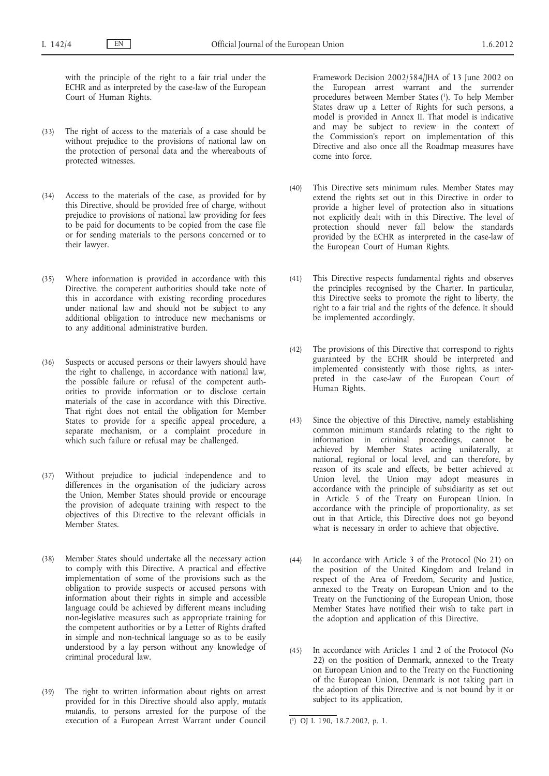with the principle of the right to a fair trial under the ECHR and as interpreted by the case-law of the European Court of Human Rights.

- (33) The right of access to the materials of a case should be without prejudice to the provisions of national law on the protection of personal data and the whereabouts of protected witnesses.
- (34) Access to the materials of the case, as provided for by this Directive, should be provided free of charge, without prejudice to provisions of national law providing for fees to be paid for documents to be copied from the case file or for sending materials to the persons concerned or to their lawyer.
- (35) Where information is provided in accordance with this Directive, the competent authorities should take note of this in accordance with existing recording procedures under national law and should not be subject to any additional obligation to introduce new mechanisms or to any additional administrative burden.
- (36) Suspects or accused persons or their lawyers should have the right to challenge, in accordance with national law, the possible failure or refusal of the competent authorities to provide information or to disclose certain materials of the case in accordance with this Directive. That right does not entail the obligation for Member States to provide for a specific appeal procedure, a separate mechanism, or a complaint procedure in which such failure or refusal may be challenged.
- (37) Without prejudice to judicial independence and to differences in the organisation of the judiciary across the Union, Member States should provide or encourage the provision of adequate training with respect to the objectives of this Directive to the relevant officials in Member States.
- (38) Member States should undertake all the necessary action to comply with this Directive. A practical and effective implementation of some of the provisions such as the obligation to provide suspects or accused persons with information about their rights in simple and accessible language could be achieved by different means including non-legislative measures such as appropriate training for the competent authorities or by a Letter of Rights drafted in simple and non-technical language so as to be easily understood by a lay person without any knowledge of criminal procedural law.
- (39) The right to written information about rights on arrest provided for in this Directive should also apply, *mutatis mutandis*, to persons arrested for the purpose of the execution of a European Arrest Warrant under Council

Framework Decision 2002/584/JHA of 13 June 2002 on the European arrest warrant and the surrender procedures between Member States (1). To help Member States draw up a Letter of Rights for such persons, a model is provided in Annex II. That model is indicative and may be subject to review in the context of the Commission's report on implementation of this Directive and also once all the Roadmap measures have come into force.

- (40) This Directive sets minimum rules. Member States may extend the rights set out in this Directive in order to provide a higher level of protection also in situations not explicitly dealt with in this Directive. The level of protection should never fall below the standards provided by the ECHR as interpreted in the case-law of the European Court of Human Rights.
- (41) This Directive respects fundamental rights and observes the principles recognised by the Charter. In particular, this Directive seeks to promote the right to liberty, the right to a fair trial and the rights of the defence. It should be implemented accordingly.
- (42) The provisions of this Directive that correspond to rights guaranteed by the ECHR should be interpreted and implemented consistently with those rights, as interpreted in the case-law of the European Court of Human Rights.
- (43) Since the objective of this Directive, namely establishing common minimum standards relating to the right to information in criminal proceedings, cannot be achieved by Member States acting unilaterally, at national, regional or local level, and can therefore, by reason of its scale and effects, be better achieved at Union level, the Union may adopt measures in accordance with the principle of subsidiarity as set out in Article 5 of the Treaty on European Union. In accordance with the principle of proportionality, as set out in that Article, this Directive does not go beyond what is necessary in order to achieve that objective.
- (44) In accordance with Article 3 of the Protocol (No 21) on the position of the United Kingdom and Ireland in respect of the Area of Freedom, Security and Justice, annexed to the Treaty on European Union and to the Treaty on the Functioning of the European Union, those Member States have notified their wish to take part in the adoption and application of this Directive.
- (45) In accordance with Articles 1 and 2 of the Protocol (No 22) on the position of Denmark, annexed to the Treaty on European Union and to the Treaty on the Functioning of the European Union, Denmark is not taking part in the adoption of this Directive and is not bound by it or subject to its application,

<sup>(</sup> 1) OJ L 190, 18.7.2002, p. 1.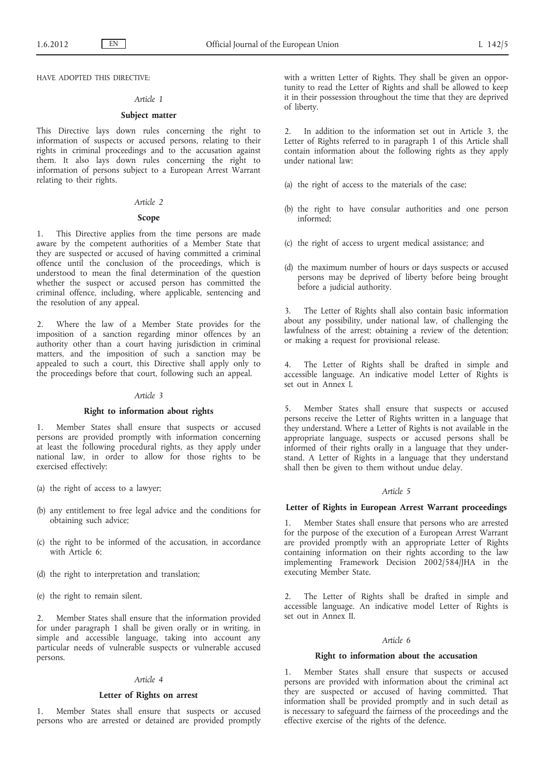HAVE ADOPTED THIS DIRECTIVE:

## *Article 1*

## **Subject matter**

This Directive lays down rules concerning the right to information of suspects or accused persons, relating to their rights in criminal proceedings and to the accusation against them. It also lays down rules concerning the right to information of persons subject to a European Arrest Warrant relating to their rights.

#### *Article 2*

## **Scope**

1. This Directive applies from the time persons are made aware by the competent authorities of a Member State that they are suspected or accused of having committed a criminal offence until the conclusion of the proceedings, which is understood to mean the final determination of the question whether the suspect or accused person has committed the criminal offence, including, where applicable, sentencing and the resolution of any appeal.

2. Where the law of a Member State provides for the imposition of a sanction regarding minor offences by an authority other than a court having jurisdiction in criminal matters, and the imposition of such a sanction may be appealed to such a court, this Directive shall apply only to the proceedings before that court, following such an appeal.

#### *Article 3*

#### **Right to information about rights**

Member States shall ensure that suspects or accused persons are provided promptly with information concerning at least the following procedural rights, as they apply under national law, in order to allow for those rights to be exercised effectively:

- (a) the right of access to a lawyer;
- (b) any entitlement to free legal advice and the conditions for obtaining such advice;
- (c) the right to be informed of the accusation, in accordance with Article 6:
- (d) the right to interpretation and translation;
- (e) the right to remain silent.

2. Member States shall ensure that the information provided for under paragraph 1 shall be given orally or in writing, in simple and accessible language, taking into account any particular needs of vulnerable suspects or vulnerable accused persons.

#### *Article 4*

#### **Letter of Rights on arrest**

1. Member States shall ensure that suspects or accused persons who are arrested or detained are provided promptly with a written Letter of Rights. They shall be given an opportunity to read the Letter of Rights and shall be allowed to keep it in their possession throughout the time that they are deprived of liberty.

2. In addition to the information set out in Article 3, the Letter of Rights referred to in paragraph 1 of this Article shall contain information about the following rights as they apply under national law:

- (a) the right of access to the materials of the case;
- (b) the right to have consular authorities and one person informed;
- (c) the right of access to urgent medical assistance; and
- (d) the maximum number of hours or days suspects or accused persons may be deprived of liberty before being brought before a judicial authority.

3. The Letter of Rights shall also contain basic information about any possibility, under national law, of challenging the lawfulness of the arrest; obtaining a review of the detention; or making a request for provisional release.

4. The Letter of Rights shall be drafted in simple and accessible language. An indicative model Letter of Rights is set out in Annex I.

5. Member States shall ensure that suspects or accused persons receive the Letter of Rights written in a language that they understand. Where a Letter of Rights is not available in the appropriate language, suspects or accused persons shall be informed of their rights orally in a language that they understand. A Letter of Rights in a language that they understand shall then be given to them without undue delay.

#### *Article 5*

#### **Letter of Rights in European Arrest Warrant proceedings**

1. Member States shall ensure that persons who are arrested for the purpose of the execution of a European Arrest Warrant are provided promptly with an appropriate Letter of Rights containing information on their rights according to the law implementing Framework Decision 2002/584/JHA in the executing Member State.

2. The Letter of Rights shall be drafted in simple and accessible language. An indicative model Letter of Rights is set out in Annex II.

## *Article 6*

#### **Right to information about the accusation**

1. Member States shall ensure that suspects or accused persons are provided with information about the criminal act they are suspected or accused of having committed. That information shall be provided promptly and in such detail as is necessary to safeguard the fairness of the proceedings and the effective exercise of the rights of the defence.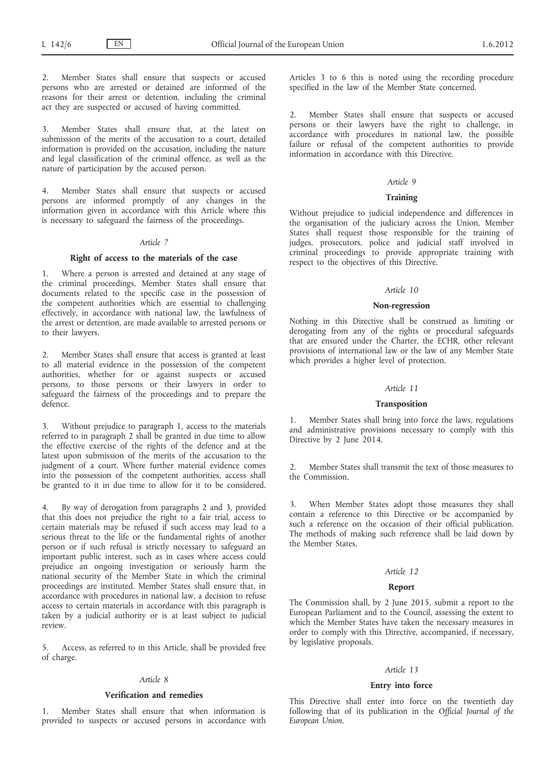2. Member States shall ensure that suspects or accused persons who are arrested or detained are informed of the reasons for their arrest or detention, including the criminal act they are suspected or accused of having committed.

3. Member States shall ensure that, at the latest on submission of the merits of the accusation to a court, detailed information is provided on the accusation, including the nature and legal classification of the criminal offence, as well as the nature of participation by the accused person.

Member States shall ensure that suspects or accused persons are informed promptly of any changes in the information given in accordance with this Article where this is necessary to safeguard the fairness of the proceedings.

#### *Article 7*

## **Right of access to the materials of the case**

Where a person is arrested and detained at any stage of the criminal proceedings, Member States shall ensure that documents related to the specific case in the possession of the competent authorities which are essential to challenging effectively, in accordance with national law, the lawfulness of the arrest or detention, are made available to arrested persons or to their lawyers.

2. Member States shall ensure that access is granted at least to all material evidence in the possession of the competent authorities, whether for or against suspects or accused persons, to those persons or their lawyers in order to safeguard the fairness of the proceedings and to prepare the defence.

3. Without prejudice to paragraph 1, access to the materials referred to in paragraph 2 shall be granted in due time to allow the effective exercise of the rights of the defence and at the latest upon submission of the merits of the accusation to the judgment of a court. Where further material evidence comes into the possession of the competent authorities, access shall be granted to it in due time to allow for it to be considered.

4. By way of derogation from paragraphs 2 and 3, provided that this does not prejudice the right to a fair trial, access to certain materials may be refused if such access may lead to a serious threat to the life or the fundamental rights of another person or if such refusal is strictly necessary to safeguard an important public interest, such as in cases where access could prejudice an ongoing investigation or seriously harm the national security of the Member State in which the criminal proceedings are instituted. Member States shall ensure that, in accordance with procedures in national law, a decision to refuse access to certain materials in accordance with this paragraph is taken by a judicial authority or is at least subject to judicial review.

5. Access, as referred to in this Article, shall be provided free of charge.

## *Article 8*

## **Verification and remedies**

1. Member States shall ensure that when information is provided to suspects or accused persons in accordance with Articles 3 to 6 this is noted using the recording procedure specified in the law of the Member State concerned.

2. Member States shall ensure that suspects or accused persons or their lawyers have the right to challenge, in accordance with procedures in national law, the possible failure or refusal of the competent authorities to provide information in accordance with this Directive.

#### *Article 9*

#### **Training**

Without prejudice to judicial independence and differences in the organisation of the judiciary across the Union, Member States shall request those responsible for the training of judges, prosecutors, police and judicial staff involved in criminal proceedings to provide appropriate training with respect to the objectives of this Directive.

## *Article 10*

## **Non-regression**

Nothing in this Directive shall be construed as limiting or derogating from any of the rights or procedural safeguards that are ensured under the Charter, the ECHR, other relevant provisions of international law or the law of any Member State which provides a higher level of protection.

## *Article 11*

#### **Transposition**

1. Member States shall bring into force the laws, regulations and administrative provisions necessary to comply with this Directive by 2 June 2014.

2. Member States shall transmit the text of those measures to the Commission.

3. When Member States adopt those measures they shall contain a reference to this Directive or be accompanied by such a reference on the occasion of their official publication. The methods of making such reference shall be laid down by the Member States.

#### *Article 12*

#### **Report**

The Commission shall, by 2 June 2015, submit a report to the European Parliament and to the Council, assessing the extent to which the Member States have taken the necessary measures in order to comply with this Directive, accompanied, if necessary, by legislative proposals.

## *Article 13*

#### **Entry into force**

This Directive shall enter into force on the twentieth day following that of its publication in the *Official Journal of the European Union*.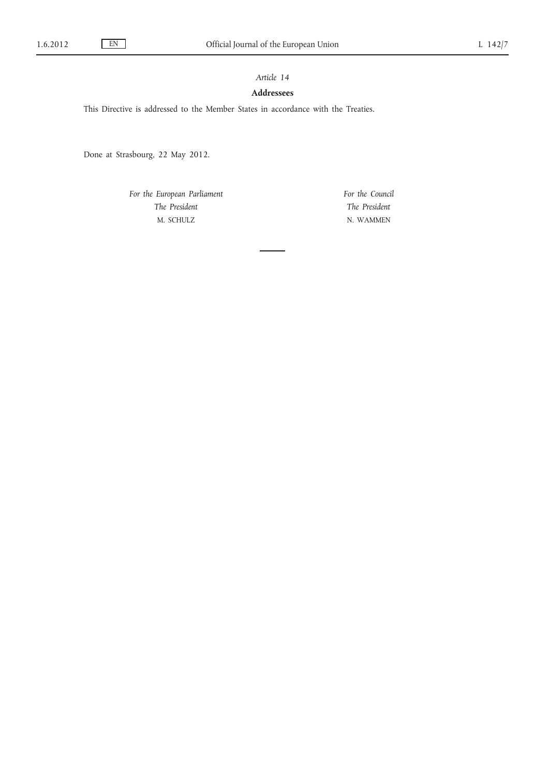## *Article 14*

## **Addressees**

This Directive is addressed to the Member States in accordance with the Treaties.

Done at Strasbourg, 22 May 2012.

*For the European Parliament The President* M. SCHULZ

*For the Council The President* N. WAMMEN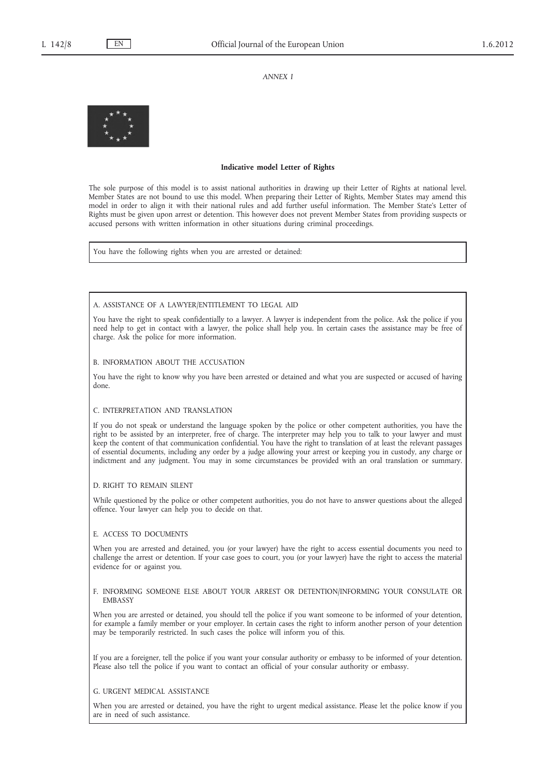#### *ANNEX I*



#### **Indicative model Letter of Rights**

The sole purpose of this model is to assist national authorities in drawing up their Letter of Rights at national level. Member States are not bound to use this model. When preparing their Letter of Rights, Member States may amend this model in order to align it with their national rules and add further useful information. The Member State's Letter of Rights must be given upon arrest or detention. This however does not prevent Member States from providing suspects or accused persons with written information in other situations during criminal proceedings.

You have the following rights when you are arrested or detained:

#### A. ASSISTANCE OF A LAWYER/ENTITLEMENT TO LEGAL AID

You have the right to speak confidentially to a lawyer. A lawyer is independent from the police. Ask the police if you need help to get in contact with a lawyer, the police shall help you. In certain cases the assistance may be free of charge. Ask the police for more information.

#### B. INFORMATION ABOUT THE ACCUSATION

You have the right to know why you have been arrested or detained and what you are suspected or accused of having done.

#### C. INTERPRETATION AND TRANSLATION

If you do not speak or understand the language spoken by the police or other competent authorities, you have the right to be assisted by an interpreter, free of charge. The interpreter may help you to talk to your lawyer and must keep the content of that communication confidential. You have the right to translation of at least the relevant passages of essential documents, including any order by a judge allowing your arrest or keeping you in custody, any charge or indictment and any judgment. You may in some circumstances be provided with an oral translation or summary.

## D. RIGHT TO REMAIN SILENT

While questioned by the police or other competent authorities, you do not have to answer questions about the alleged offence. Your lawyer can help you to decide on that.

#### E. ACCESS TO DOCUMENTS

When you are arrested and detained, you (or your lawyer) have the right to access essential documents you need to challenge the arrest or detention. If your case goes to court, you (or your lawyer) have the right to access the material evidence for or against you.

#### F. INFORMING SOMEONE ELSE ABOUT YOUR ARREST OR DETENTION/INFORMING YOUR CONSULATE OR EMBASSY

When you are arrested or detained, you should tell the police if you want someone to be informed of your detention, for example a family member or your employer. In certain cases the right to inform another person of your detention may be temporarily restricted. In such cases the police will inform you of this.

If you are a foreigner, tell the police if you want your consular authority or embassy to be informed of your detention. Please also tell the police if you want to contact an official of your consular authority or embassy.

## G. URGENT MEDICAL ASSISTANCE

When you are arrested or detained, you have the right to urgent medical assistance. Please let the police know if you are in need of such assistance.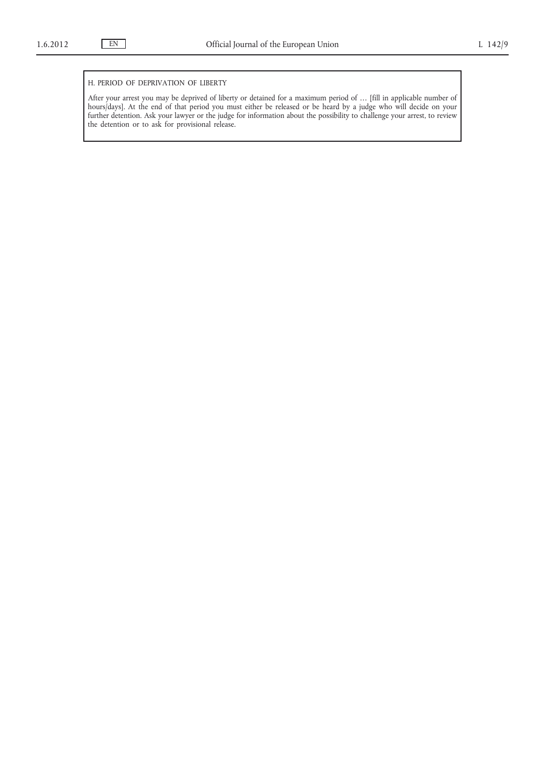## H. PERIOD OF DEPRIVATION OF LIBERTY

After your arrest you may be deprived of liberty or detained for a maximum period of … [fill in applicable number of hours/days]. At the end of that period you must either be released or be heard by a judge who will decide on your further detention. Ask your lawyer or the judge for information about the possibility to challenge your arrest, to review the detention or to ask for provisional release.